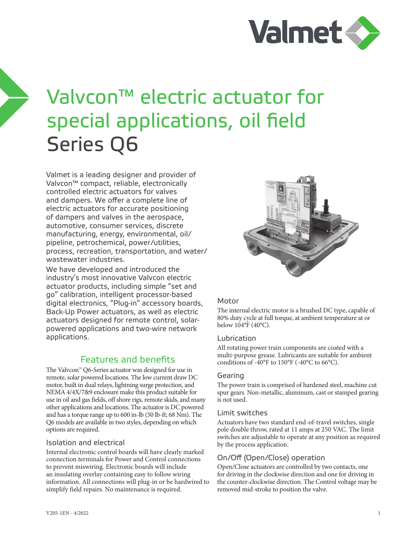

# Valvcon™ electric actuator for special applications, oil field Series Q6

Valmet is a leading designer and provider of Valvcon™ compact, reliable, electronically controlled electric actuators for valves and dampers. We offer a complete line of electric actuators for accurate positioning of dampers and valves in the aerospace, automotive, consumer services, discrete manufacturing, energy, environmental, oil/ pipeline, petrochemical, power/utilities, process, recreation, transportation, and water/ wastewater industries.

We have developed and introduced the industry's most innovative Valvcon electric actuator products, including simple "set and go" calibration, intelligent processor-based digital electronics, "Plug-in" accessory boards, Back-Up Power actuators, as well as electric actuators designed for remote control, solarpowered applications and two-wire network applications.

## Features and benefits

The Valvcon™ Q6-Series actuator was designed for use in remote, solar powered locations. The low current draw DC motor, built in dual relays, lightning surge protection, and NEMA 4/4X/7&9 enclosure make this product suitable for use in oil and gas fields, off shore rigs, remote skids, and many other applications and locations. The actuator is DC powered and has a torque range up to 600 in-lb (50 lb-ft; 68 Nm). The Q6 models are available in two styles, depending on which options are required.

#### Isolation and electrical

Internal electronic control boards will have clearly marked connection terminals for Power and Control connections to prevent miswiring. Electronic boards will include an insulating overlay containing easy to follow wiring information. All connections will plug-in or be hardwired to simplify field repairs. No maintenance is required.



#### Motor

The internal electric motor is a brushed DC type, capable of 80% duty cycle at full torque, at ambient temperature at or below 104°F (40°C).

#### Lubrication

All rotating power train components are coated with a multi-purpose grease. Lubricants are suitable for ambient conditions of -40°F to 150°F (-40°C to 66°C).

#### Gearing

The power train is comprised of hardened steel, machine cut spur gears. Non-metallic, aluminum, cast or stamped gearing is not used.

#### Limit switches

Actuators have two standard end-of-travel switches, single pole double throw, rated at 11 amps at 250 VAC. The limit switches are adjustable to operate at any position as required by the process application.

#### On/Off (Open/Close) operation

Open/Close actuators are controlled by two contacts, one for driving in the clockwise direction and one for driving in the counter-clockwise direction. The Control voltage may be removed mid-stroke to position the valve.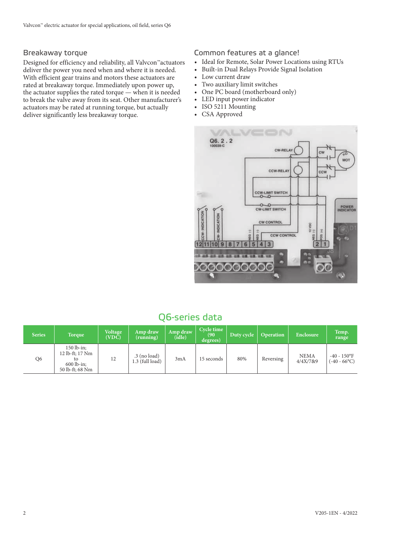#### Breakaway torque

Designed for efficiency and reliability, all Valvcon™actuators deliver the power you need when and where it is needed. With efficient gear trains and motors these actuators are rated at breakaway torque. Immediately upon power up, the actuator supplies the rated torque — when it is needed to break the valve away from its seat. Other manufacturer's actuators may be rated at running torque, but actually deliver significantly less breakaway torque.

#### Common features at a glance!

- Ideal for Remote, Solar Power Locations using RTUs
- Built-in Dual Relays Provide Signal Isolation
- Low current draw
- Two auxiliary limit switches
- One PC board (motherboard only)
- LED input power indicator
- ISO 5211 Mounting
- CSA Approved



# Q6-series data

| <b>Series</b> | <b>Torque</b>                                                            | <b>Voltage</b><br>(VDC) | Amp draw<br>(running)               | Amp draw<br>(idle) | Cycle time<br>(90)<br>degrees) | Duty cycle | <b>Operation</b> | Enclosure               | Temp.<br>range                    |
|---------------|--------------------------------------------------------------------------|-------------------------|-------------------------------------|--------------------|--------------------------------|------------|------------------|-------------------------|-----------------------------------|
| Q6            | $150$ lb-in:<br>12 lb-ft; 17 Nm<br>tο<br>$600$ lb-in:<br>50 lb-ft; 68 Nm | 12                      | $.3$ (no load)<br>$1.3$ (full load) | 3mA                | 15 seconds                     | 80%        | Reversing        | <b>NEMA</b><br>4/4X/7&9 | $-40 - 150$ °F<br>$(-40 - 66$ °C) |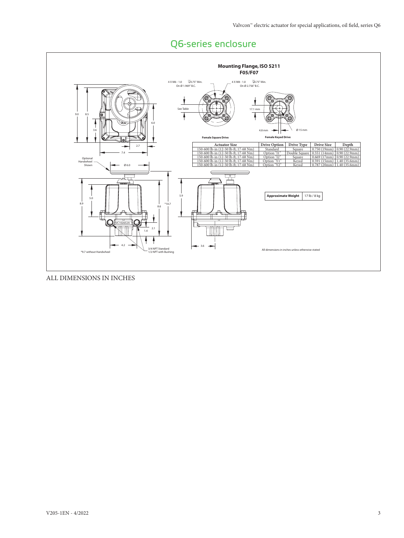

# Q6-series enclosure

ALL DIMENSIONS IN INCHES